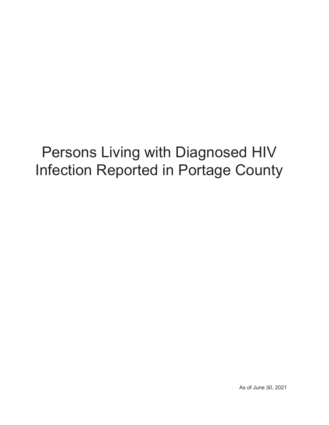# Persons Living with Diagnosed HIV Infection Reported in Portage County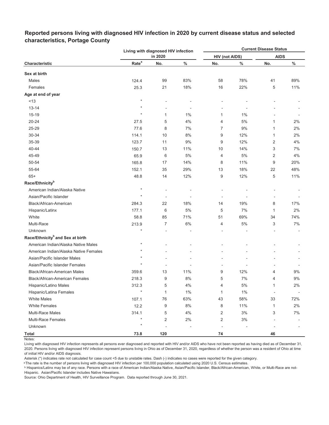|                                              |                   | Living with diagnosed HIV infection |       | <b>Current Disease Status</b> |      |                          |                          |  |  |  |  |
|----------------------------------------------|-------------------|-------------------------------------|-------|-------------------------------|------|--------------------------|--------------------------|--|--|--|--|
|                                              |                   | in 2020                             |       | <b>HIV (not AIDS)</b>         |      | <b>AIDS</b>              |                          |  |  |  |  |
| Characteristic                               | Rate <sup>a</sup> | No.                                 | $\%$  | No.                           | $\%$ | No.                      | $\%$                     |  |  |  |  |
| Sex at birth                                 |                   |                                     |       |                               |      |                          |                          |  |  |  |  |
| Males                                        | 124.4             | 99                                  | 83%   | 58                            | 78%  | 41                       | 89%                      |  |  |  |  |
| Females                                      | 25.3              | 21                                  | 18%   | 16                            | 22%  | 5                        | 11%                      |  |  |  |  |
| Age at end of year                           |                   |                                     |       |                               |      |                          |                          |  |  |  |  |
| < 13                                         | $\star$           |                                     |       | $\overline{\phantom{a}}$      |      |                          |                          |  |  |  |  |
| $13 - 14$                                    | $\star$           |                                     |       |                               |      |                          |                          |  |  |  |  |
| 15-19                                        | $\star$           | 1                                   | 1%    | $\mathbf{1}$                  | 1%   |                          |                          |  |  |  |  |
| $20 - 24$                                    | 27.5              | 5                                   | 4%    | $\overline{4}$                | 5%   | 1                        | 2%                       |  |  |  |  |
| 25-29                                        | 77.6              | 8                                   | 7%    | $\overline{7}$                | 9%   | 1                        | 2%                       |  |  |  |  |
| 30-34                                        | 114.1             | 10                                  | 8%    | 9                             | 12%  | 1                        | 2%                       |  |  |  |  |
| 35-39                                        | 123.7             | 11                                  | 9%    | 9                             | 12%  | 2                        | 4%                       |  |  |  |  |
| 40-44                                        | 150.7             | 13                                  | 11%   | 10                            | 14%  | 3                        | 7%                       |  |  |  |  |
| 45-49                                        | 65.9              | 6                                   | $5\%$ | 4                             | 5%   | $\overline{2}$           | 4%                       |  |  |  |  |
| 50-54                                        | 165.8             | 17                                  | 14%   | 8                             | 11%  | 9                        | 20%                      |  |  |  |  |
| 55-64                                        | 152.1             | 35                                  | 29%   | 13                            | 18%  | 22                       | 48%                      |  |  |  |  |
| $65+$                                        | 48.8              | 14                                  | 12%   | 9                             | 12%  | 5                        | 11%                      |  |  |  |  |
| Race/Ethnicity <sup>b</sup>                  |                   |                                     |       |                               |      |                          |                          |  |  |  |  |
| American Indian/Alaska Native                | $\star$           |                                     |       |                               |      |                          |                          |  |  |  |  |
| Asian/Pacific Islander                       | $\star$           | ٠                                   |       | ٠                             |      | ٠                        |                          |  |  |  |  |
| Black/African-American                       | 284.3             | 22                                  | 18%   | 14                            | 19%  | 8                        | 17%                      |  |  |  |  |
| Hispanic/Latinx                              | 177.1             | 6                                   | 5%    | 5                             | 7%   | 1                        | 2%                       |  |  |  |  |
| White                                        | 58.8              | 85                                  | 71%   | 51                            | 69%  | 34                       | 74%                      |  |  |  |  |
| Multi-Race                                   | 213.9             | 7                                   | 6%    | 4                             | 5%   | 3                        | 7%                       |  |  |  |  |
| Unknown                                      | $\star$           | L,                                  |       |                               |      |                          |                          |  |  |  |  |
| Race/Ethnicity <sup>b</sup> and Sex at birth |                   |                                     |       |                               |      |                          |                          |  |  |  |  |
| American Indian/Alaska Native Males          | $\star$           |                                     |       |                               |      |                          |                          |  |  |  |  |
| American Indian/Alaska Native Females        |                   |                                     |       |                               |      |                          |                          |  |  |  |  |
| Asian/Pacific Islander Males                 |                   |                                     |       |                               |      |                          |                          |  |  |  |  |
| Asian/Pacific Islander Females               | $\star$           | ٠                                   |       |                               |      | L,                       |                          |  |  |  |  |
| <b>Black/African-American Males</b>          | 359.6             | 13                                  | 11%   | 9                             | 12%  | 4                        | 9%                       |  |  |  |  |
| <b>Black/African-American Females</b>        | 218.3             | 9                                   | 8%    | 5                             | 7%   | 4                        | 9%                       |  |  |  |  |
| Hispanic/Latino Males                        | 312.3             | 5                                   | 4%    | $\overline{4}$                | 5%   | 1                        | 2%                       |  |  |  |  |
| Hispanic/Latina Females                      | $^\star$          | $\mathbf{1}$                        | $1\%$ | $\mathbf{1}$                  | 1%   | $\overline{\phantom{a}}$ | $\overline{\phantom{a}}$ |  |  |  |  |
| <b>White Males</b>                           | 107.1             | 76                                  | 63%   | 43                            | 58%  | 33                       | 72%                      |  |  |  |  |
| <b>White Females</b>                         | 12.2              | 9                                   | $8\%$ | 8                             | 11%  | 1                        | 2%                       |  |  |  |  |
| Multi-Race Males                             | 314.1             | 5                                   | $4\%$ | $\overline{c}$                | 3%   | 3                        | 7%                       |  |  |  |  |
| <b>Multi-Race Females</b>                    | $\star$           | 2                                   | 2%    | 2                             | 3%   |                          |                          |  |  |  |  |
| Unknown                                      | $\star$           | ÷,                                  |       | ÷,                            |      | $\overline{\phantom{a}}$ | $\blacksquare$           |  |  |  |  |
| <b>Total</b>                                 | 73.8              | 120                                 |       | 74                            |      | 46                       |                          |  |  |  |  |

## **Reported persons living with diagnosed HIV infection in 2020 by current disease status and selected characteristics, Portage County**

Living with diagnosed HIV infection represents all persons ever diagnosed and reported with HIV and/or AIDS who have not been reported as having died as of December 31, 2020. Persons living with diagnosed HIV infection represent persons living in Ohio as of December 31, 2020, regardless of whether the person was a resident of Ohio at time of initial HIV and/or AIDS diagnosis.

Asterisk (\*) indicates rate not calculated for case count <5 due to unstable rates. Dash (-) indicates no cases were reported for the given category.

<sup>a</sup>The rate is the number of persons living with diagnosed HIV infection per 100,000 population calculated using 2020 U.S. Census estimates.

ᵇ Hispanics/Latinx may be of any race. Persons with a race of American Indian/Alaska Native, Asian/Pacific Islander, Black/African-American, White, or Multi-Race are not-Hispanic. Asian/Pacific Islander includes Native Hawaiians.

Source: Ohio Department of Health, HIV Surveillance Program. Data reported through June 30, 2021.

Notes: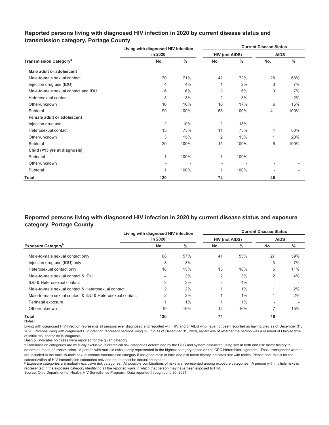## **Reported persons living with diagnosed HIV infection in 2020 by current disease status and transmission category, Portage County**

|                                          | Living with diagnosed HIV infection |      | <b>Current Disease Status</b> |      |             |      |  |  |  |  |
|------------------------------------------|-------------------------------------|------|-------------------------------|------|-------------|------|--|--|--|--|
|                                          | in 2020                             |      | <b>HIV (not AIDS)</b>         |      | <b>AIDS</b> |      |  |  |  |  |
| <b>Transmission Category<sup>a</sup></b> | No.                                 | $\%$ | No.                           | $\%$ | No.         | $\%$ |  |  |  |  |
| Male adult or adolescent                 |                                     |      |                               |      |             |      |  |  |  |  |
| Male-to-male sexual contact              | 70                                  | 71%  | 42                            | 72%  | 28          | 68%  |  |  |  |  |
| Injection drug use (IDU)                 | 4                                   | 4%   | 1                             | 2%   | 3           | 7%   |  |  |  |  |
| Male-to-male sexual contact and IDU      | 6                                   | 6%   | 3                             | 5%   | 3           | 7%   |  |  |  |  |
| Heterosexual contact                     | 3                                   | 3%   | 2                             | 3%   | 1           | 2%   |  |  |  |  |
| Other/unknown                            | 16                                  | 16%  | 10                            | 17%  | 6           | 15%  |  |  |  |  |
| Subtotal                                 | 99                                  | 100% | 58                            | 100% | 41          | 100% |  |  |  |  |
| Female adult or adolescent               |                                     |      |                               |      |             |      |  |  |  |  |
| Injection drug use                       | $\overline{2}$                      | 10%  | 2                             | 13%  |             |      |  |  |  |  |
| Heterosexual contact                     | 15                                  | 75%  | 11                            | 73%  | 4           | 80%  |  |  |  |  |
| Other/unknown                            | 3                                   | 15%  | 2                             | 13%  | 1           | 20%  |  |  |  |  |
| Subtotal                                 | 20                                  | 100% | 15                            | 100% | 5           | 100% |  |  |  |  |
| Child (<13 yrs at diagnosis)             |                                     |      |                               |      |             |      |  |  |  |  |
| Perinatal                                | 1                                   | 100% | 1                             | 100% |             |      |  |  |  |  |
| Other/unknown                            |                                     |      | $\overline{a}$                |      |             |      |  |  |  |  |
| Subtotal                                 |                                     | 100% | 1                             | 100% |             |      |  |  |  |  |
| Total                                    | 120                                 |      | 74                            |      | 46          |      |  |  |  |  |

## **Reported persons living with diagnosed HIV infection in 2020 by current disease status and exposure category, Portage County**

|                                                          | Living with diagnosed HIV infection |     | <b>Current Disease Status</b> |       |             |     |  |  |  |  |
|----------------------------------------------------------|-------------------------------------|-----|-------------------------------|-------|-------------|-----|--|--|--|--|
|                                                          | in 2020                             |     | <b>HIV (not AIDS)</b>         |       | <b>AIDS</b> |     |  |  |  |  |
| <b>Exposure Category</b> <sup>b</sup>                    | No.                                 | %   | No.                           | $\%$  | No.         | %   |  |  |  |  |
| Male-to-male sexual contact only                         | 68                                  | 57% | 41                            | 55%   | 27          | 59% |  |  |  |  |
| Injection drug use (IDU) only                            | 3                                   | 3%  |                               |       | 3           | 7%  |  |  |  |  |
| Heterosexual contact only                                | 18                                  | 15% | 13                            | 18%   | 5           | 11% |  |  |  |  |
| Male-to-male sexual contact & IDU                        | 4                                   | 3%  | $\overline{2}$                | 3%    | 2           | 4%  |  |  |  |  |
| IDU & Heterosexual contact                               | 3                                   | 3%  | 3                             | 4%    |             |     |  |  |  |  |
| Male-to-male sexual contact & Heterosexual contact       | 2                                   | 2%  |                               | 1%    |             | 2%  |  |  |  |  |
| Male-to-male sexual contact & IDU & Heterosexual contact | 2                                   | 2%  |                               | $1\%$ |             | 2%  |  |  |  |  |
| Perinatal exposure                                       |                                     | 1%  |                               | 1%    |             |     |  |  |  |  |
| Other/unknown                                            | 19                                  | 16% | 12                            | 16%   |             | 15% |  |  |  |  |
| <b>Total</b>                                             | 120                                 |     | 74                            |       | 46          |     |  |  |  |  |

Notes:

Living with diagnosed HIV infection represents all persons ever diagnosed and reported with HIV and/or AIDS who have not been reported as having died as of December 31, 2020. Persons living with diagnosed HIV infection represent persons living in Ohio as of December 31, 2020, regardless of whether the person was a resident of Ohio at time of initial HIV and/or AIDS diagnosis.

Dash (-) indicates no cases were reported for the given category.

a Transmission categories are mutually exclusive, hierarchical risk categories determined by the CDC and system-calculated using sex at birth and risk factor history to determine mode of transmission. A person with multiple risks is only represented in the highest category based on the CDC hierarchical algorithm. Thus, transgender women are included in the male-to-male sexual contact transmission category if assigned male at birth and risk factor history indicates sex with males. Please note this is for the

cateqorization of HIV transmission cateqories only and not to describe sexual orientation.<br>▷ Exposure categories are mutually exclusive risk categories. All possible combinations of risks are represented among exposure c represented in the exposure category identifying all the reported ways in which that person may have been exposed to HIV.

Source: Ohio Department of Health, HIV Surveillance Program. Data reported through June 30, 2021.